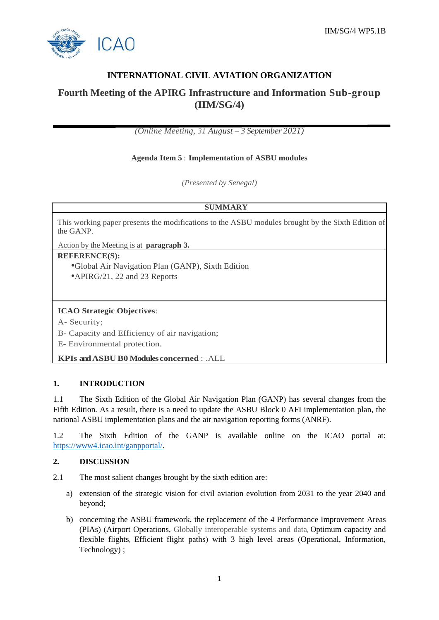

## **INTERNATIONAL CIVIL AVIATION ORGANIZATION**

# **Fourth Meeting of the APIRG Infrastructure and Information Sub-group (IIM/SG/4)**

*(Online Meeting, 31 August – 3 September 2021)*

#### **Agenda Item 5** : **Implementation of ASBU modules**

*(Presented by Senegal)*

#### **SUMMARY**

This working paper presents the modifications to the ASBU modules brought by the Sixth Edition of the GANP.

Action by the Meeting is at **paragraph 3.**

#### **REFERENCE(S):**

•Global Air Navigation Plan (GANP), Sixth Edition •APIRG/21, 22 and 23 Reports

## **ICAO Strategic Objectives**:

A- Security;

B- Capacity and Efficiency of air navigation;

E- Environmental protection.

**KPIs andASBU B0 Modules concerned** : .ALL

#### **1. INTRODUCTION**

1.1 The Sixth Edition of the Global Air Navigation Plan (GANP) has several changes from the Fifth Edition. As a result, there is a need to update the ASBU Block 0 AFI implementation plan, the national ASBU implementation plans and the air navigation reporting forms (ANRF).

1.2 The Sixth Edition of the GANP is available online on the ICAO portal at: [https://www4.icao.int/ganpportal/.](https://www4.icao.int/ganpportal/)

#### **2. DISCUSSION**

- 2.1 The most salient changes brought by the sixth edition are:
	- a) extension of the strategic vision for civil aviation evolution from 2031 to the year 2040 and beyond;
	- b) concerning the ASBU framework, the replacement of the 4 Performance Improvement Areas (PIAs) (Airport Operations, Globally interoperable systems and data, Optimum capacity and flexible flights, Efficient flight paths) with 3 high level areas (Operational, Information, Technology) ;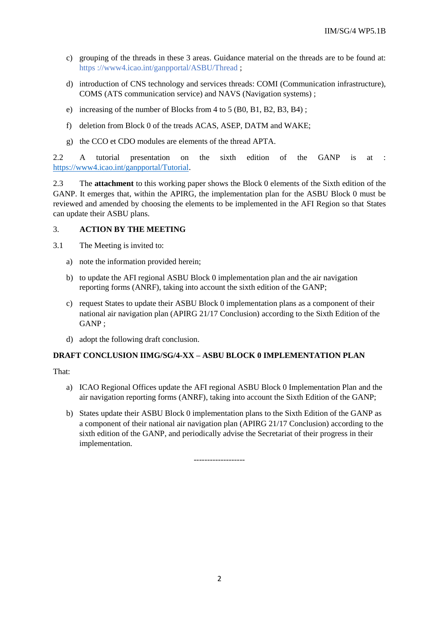- c) grouping of the threads in these 3 areas. Guidance material on the threads are to be found at: https [://www4.icao.int/ganpportal/ASBU/Thread](https://www4.icao.int/ganpportal/ASBU/Thread) ;
- d) introduction of CNS technology and services threads: COMI (Communication infrastructure), COMS (ATS communication service) and NAVS (Navigation systems) ;
- e) increasing of the number of Blocks from 4 to 5 (B0, B1, B2, B3, B4) ;
- f) deletion from Block 0 of the treads ACAS, ASEP, DATM and WAKE;
- g) the CCO et CDO modules are elements of the thread APTA.

2.2 A tutorial presentation on the sixth edition of the GANP is at : [https://www4.icao.int/ganpportal/Tutorial.](https://www4.icao.int/ganpportal/Tutorial)

2.3 The **attachment** to this working paper shows the Block 0 elements of the Sixth edition of the GANP. It emerges that, within the APIRG, the implementation plan for the ASBU Block 0 must be reviewed and amended by choosing the elements to be implemented in the AFI Region so that States can update their ASBU plans.

#### 3. **ACTION BY THE MEETING**

3.1 The Meeting is invited to:

- a) note the information provided herein;
- b) to update the AFI regional ASBU Block 0 implementation plan and the air navigation reporting forms (ANRF), taking into account the sixth edition of the GANP;
- c) request States to update their ASBU Block 0 implementation plans as a component of their national air navigation plan (APIRG 21/17 Conclusion) according to the Sixth Edition of the GANP ;
- d) adopt the following draft conclusion.

#### **DRAFT CONCLUSION IIMG/SG/4-XX – ASBU BLOCK 0 IMPLEMENTATION PLAN**

That:

- a) ICAO Regional Offices update the AFI regional ASBU Block 0 Implementation Plan and the air navigation reporting forms (ANRF), taking into account the Sixth Edition of the GANP;
- b) States update their ASBU Block 0 implementation plans to the Sixth Edition of the GANP as a component of their national air navigation plan (APIRG 21/17 Conclusion) according to the sixth edition of the GANP, and periodically advise the Secretariat of their progress in their implementation.

-------------------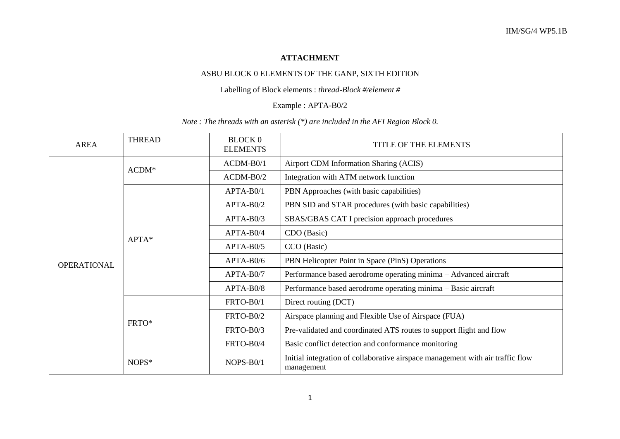## **ATTACHMENT**

## ASBU BLOCK 0 ELEMENTS OF THE GANP, SIXTH EDITION

#### Labelling of Block elements : *thread-Block #/element #*

#### Example : APTA-B0/2

#### *Note : The threads with an asterisk (\*) are included in the AFI Region Block 0.*

| <b>AREA</b>        | <b>THREAD</b> | <b>BLOCK 0</b><br><b>ELEMENTS</b> | TITLE OF THE ELEMENTS                                                                        |
|--------------------|---------------|-----------------------------------|----------------------------------------------------------------------------------------------|
| <b>OPERATIONAL</b> | $ACDM*$       | $ACDM-B0/1$                       | Airport CDM Information Sharing (ACIS)                                                       |
|                    |               | $ACDM-B0/2$                       | Integration with ATM network function                                                        |
|                    | $APTA*$       | APTA-B0/1                         | PBN Approaches (with basic capabilities)                                                     |
|                    |               | $APTA-B0/2$                       | PBN SID and STAR procedures (with basic capabilities)                                        |
|                    |               | $APTA-B0/3$                       | SBAS/GBAS CAT I precision approach procedures                                                |
|                    |               | APTA-B0/4                         | CDO (Basic)                                                                                  |
|                    |               | $APTA-B0/5$                       | CCO (Basic)                                                                                  |
|                    |               | $APTA-B0/6$                       | PBN Helicopter Point in Space (PinS) Operations                                              |
|                    |               | APTA-B0/7                         | Performance based aerodrome operating minima - Advanced aircraft                             |
|                    |               | APTA-B0/8                         | Performance based aerodrome operating minima - Basic aircraft                                |
|                    | FRTO*         | FRTO-B0/1                         | Direct routing (DCT)                                                                         |
|                    |               | FRTO-B0/2                         | Airspace planning and Flexible Use of Airspace (FUA)                                         |
|                    |               | FRTO-B0/3                         | Pre-validated and coordinated ATS routes to support flight and flow                          |
|                    |               | FRTO-B0/4                         | Basic conflict detection and conformance monitoring                                          |
|                    | NOPS*         | NOPS-B0/1                         | Initial integration of collaborative airspace management with air traffic flow<br>management |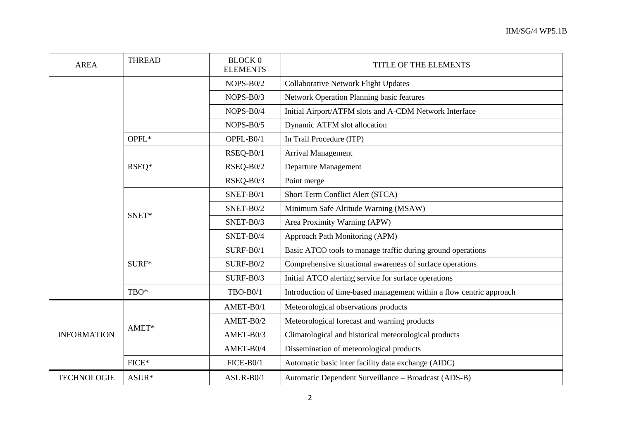| <b>AREA</b>        | <b>THREAD</b> | <b>BLOCK 0</b><br><b>ELEMENTS</b> | TITLE OF THE ELEMENTS                                                |
|--------------------|---------------|-----------------------------------|----------------------------------------------------------------------|
|                    |               | $NOPS-B0/2$                       | <b>Collaborative Network Flight Updates</b>                          |
|                    |               | NOPS-B0/3                         | <b>Network Operation Planning basic features</b>                     |
|                    |               | NOPS-B0/4                         | Initial Airport/ATFM slots and A-CDM Network Interface               |
|                    |               | $NOPS-B0/5$                       | Dynamic ATFM slot allocation                                         |
|                    | OPFL*         | OPFL-B0/1                         | In Trail Procedure (ITP)                                             |
|                    | RSEQ*         | RSEQ-B0/1                         | <b>Arrival Management</b>                                            |
|                    |               | RSEQ-B0/2                         | Departure Management                                                 |
|                    |               | RSEQ-B0/3                         | Point merge                                                          |
|                    |               | SNET-B0/1                         | Short Term Conflict Alert (STCA)                                     |
|                    | SNET*         | SNET-B0/2                         | Minimum Safe Altitude Warning (MSAW)                                 |
|                    |               | SNET-B0/3                         | Area Proximity Warning (APW)                                         |
|                    |               | SNET-B0/4                         | Approach Path Monitoring (APM)                                       |
|                    | SURF*         | SURF-B0/1                         | Basic ATCO tools to manage traffic during ground operations          |
|                    |               | <b>SURF-B0/2</b>                  | Comprehensive situational awareness of surface operations            |
|                    |               | $SURF-B0/3$                       | Initial ATCO alerting service for surface operations                 |
|                    | TBO*          | <b>TBO-B0/1</b>                   | Introduction of time-based management within a flow centric approach |
| <b>INFORMATION</b> | AMET*         | AMET-B0/1                         | Meteorological observations products                                 |
|                    |               | AMET-B0/2                         | Meteorological forecast and warning products                         |
|                    |               | AMET-B0/3                         | Climatological and historical meteorological products                |
|                    |               | AMET-B0/4                         | Dissemination of meteorological products                             |
|                    | $FICE*$       | FICE-B0/1                         | Automatic basic inter facility data exchange (AIDC)                  |
| <b>TECHNOLOGIE</b> | ASUR*         | ASUR-B0/1                         | Automatic Dependent Surveillance - Broadcast (ADS-B)                 |